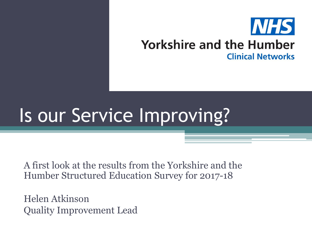

### **Yorkshire and the Humber Clinical Networks**

## Is our Service Improving?

A first look at the results from the Yorkshire and the Humber Structured Education Survey for 2017-18

Helen Atkinson Quality Improvement Lead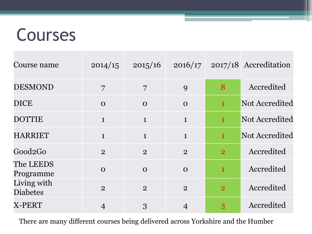### Courses

| Course name                    | 2014/15        | 2015/16        | 2016/17        |                | $2017/18$ Accreditation |
|--------------------------------|----------------|----------------|----------------|----------------|-------------------------|
| <b>DESMOND</b>                 | 7              | $\overline{7}$ | 9              | 8              | Accredited              |
| <b>DICE</b>                    | $\Omega$       | $\Omega$       | $\Omega$       | $\mathbf{1}$   | Not Accredited          |
| <b>DOTTIE</b>                  | $\mathbf{1}$   | $\mathbf{1}$   | $\mathbf{1}$   | $\mathbf{1}$   | Not Accredited          |
| <b>HARRIET</b>                 | $\mathbf{1}$   | $\mathbf{1}$   | $\mathbf{1}$   | $\mathbf{1}$   | Not Accredited          |
| Good <sub>2</sub> Go           | $\overline{2}$ | $\overline{2}$ | $\overline{2}$ | $\overline{2}$ | Accredited              |
| The LEEDS<br>Programme         | $\Omega$       | $\Omega$       | $\Omega$       | $\mathbf{1}$   | Accredited              |
| Living with<br><b>Diabetes</b> | $\overline{2}$ | $\overline{2}$ | $\overline{2}$ | $\overline{2}$ | Accredited              |
| X-PERT                         | $\overline{4}$ | 3              | $\overline{4}$ | 3              | Accredited              |

There are many different courses being delivered across Yorkshire and the Humber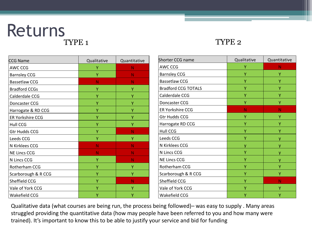# Returns

#### TYPE 2

| <b>CCG Name</b>         | Qualitative | Quantitative |  |
|-------------------------|-------------|--------------|--|
| AWC CCG                 | Υ           | N            |  |
| <b>Barnsley CCG</b>     | Υ           | N            |  |
| <b>Bassetlaw CCG</b>    | Ν           | N            |  |
| <b>Bradford CCGs</b>    | Ÿ           | Ÿ            |  |
| Calderdale CCG          | Υ           | Υ            |  |
| Doncaster CCG           | Ÿ           | Υ            |  |
| Harrogate & RD CCG      | Υ           | Υ            |  |
| <b>ER Yorkshire CCG</b> | Υ           | Υ            |  |
| <b>Hull CCG</b>         | Υ           | Υ            |  |
| <b>Gtr Hudds CCG</b>    | Ÿ           | N            |  |
| Leeds CCG               | Υ           | Υ            |  |
| N Kirklees CCG          | N           | N            |  |
| <b>NE Lincs CCG</b>     | N           | N            |  |
| N Lincs CCG             | Υ           | N            |  |
| Rotherham CCG           | Υ           | Υ            |  |
| Scarborough & R CCG     | Υ           | Y            |  |
| Sheffield CCG           | Υ           | N            |  |
| Vale of York CCG        | Υ           | Υ            |  |
| Wakefield CCG           | Υ           | Υ            |  |

| Shorter CCG name           | Qualitative | Quantitative |  |
|----------------------------|-------------|--------------|--|
| AWC CCG                    | Υ           | Ν            |  |
| <b>Barnsley CCG</b>        | Υ           | Υ            |  |
| <b>Bassetlaw CCG</b>       | Υ           | Υ            |  |
| <b>Bradford CCG TOTALS</b> | Υ           | Υ            |  |
| Calderdale CCG             | Υ           | Y            |  |
| Doncaster CCG              | Υ           | Υ            |  |
| <b>ER Yorkshire CCG</b>    | Ν           | N            |  |
| <b>Gtr Hudds CCG</b>       | Υ           | Υ            |  |
| Harrogate RD CCG           | Υ           | Υ            |  |
| <b>Hull CCG</b>            | Υ           | Υ            |  |
| Leeds CCG                  | Ÿ           |              |  |
| N Kirklees CCG             | ۷           |              |  |
| N Lincs CCG                | Υ           | ۷            |  |
| <b>NE Lincs CCG</b>        | Υ           | ٧            |  |
| Rotherham CCG              | Y           | Υ            |  |
| Scarborough & R CCG        | γ           | Υ            |  |
| Sheffield CCG              | γ           | Ν            |  |
| Vale of York CCG           | Ÿ           | Υ            |  |
| Wakefield CCG              | γ           | Υ            |  |

Qualitative data (what courses are being run, the process being followed)– was easy to supply . Many areas struggled providing the quantitative data (how may people have been referred to you and how many were trained). It's important to know this to be able to justify your service and bid for funding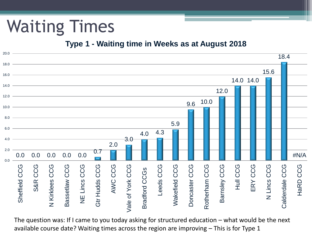## Waiting Times

#### **Type 1 - Waiting time in Weeks as at August 2018**



The question was: If I came to you today asking for structured education – what would be the next available course date? Waiting times across the region are improving – This is for Type 1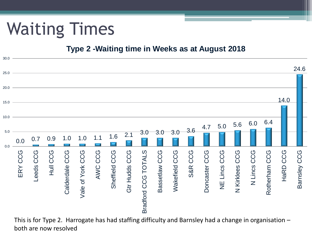### Waiting Times

#### **Type 2 -Waiting time in Weeks as at August 2018**



This is for Type 2. Harrogate has had staffing difficulty and Barnsley had a change in organisation – both are now resolved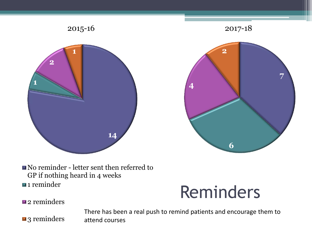



No reminder - letter sent then referred to GP if nothing heard in 4 weeks  $\blacksquare$  1 reminder

### Reminders

**2** reminders

There has been a real push to remind patients and encourage them to attend courses

**Example 3 reminders**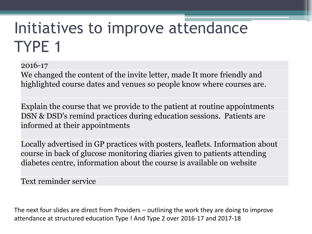### Initiatives to improve attendance TYPE 1

2016-17

We changed the content of the invite letter, made It more friendly and highlighted course dates and venues so people know where courses are.

Explain the course that we provide to the patient at routine appointments DSN & DSD's remind practices during education sessions. Patients are informed at their appointments

Locally advertised in GP practices with posters, leaflets. Information about course in back of glucose monitoring diaries given to patients attending diabetes centre, information about the course is available on website

Text reminder service

The next four slides are direct from Providers – outlining the work they are doing to improve attendance at structured education Type ! And Type 2 over 2016-17 and 2017-18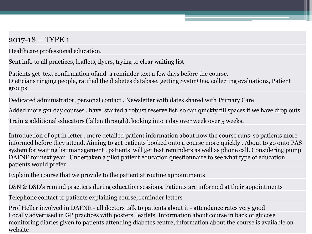#### 2017-18 – TYPE 1

Healthcare professional education.

Sent info to all practices, leaflets, flyers, trying to clear waiting list

Patients get text confirmation ofand a reminder text a few days before the course. Dieticians ringing people, ratified the diabetes database, getting SystmOne, collecting evaluations, Patient groups

Dedicated administrator, personal contact , Newsletter with dates shared with Primary Care

Added more 5x1 day courses , have started a robust reserve list, so can quickly fill spaces if we have drop outs

Train 2 additional educators (fallen through), looking into 1 day over week over 5 weeks,

Introduction of opt in letter , more detailed patient information about how the course runs so patients more informed before they attend. Aiming to get patients booked onto a course more quickly . About to go onto PAS system for waiting list management , patients will get text reminders as well as phone call. Considering pump DAFNE for next year . Undertaken a pilot patient education questionnaire to see what type of education patients would prefer

Explain the course that we provide to the patient at routine appointments

DSN & DSD's remind practices during education sessions. Patients are informed at their appointments

Telephone contact to patients explaining course, reminder letters

Prof Heller involved in DAFNE - all doctors talk to patients about it - attendance rates very good Locally advertised in GP practices with posters, leaflets. Information about course in back of glucose monitoring diaries given to patients attending diabetes centre, information about the course is available on website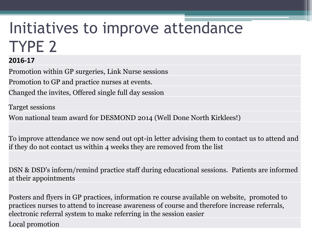### Initiatives to improve attendance TYPE 2

#### **2016-17**

Promotion within GP surgeries, Link Nurse sessions Promotion to GP and practice nurses at events. Changed the invites, Offered single full day session

Target sessions

Won national team award for DESMOND 2014 (Well Done North Kirklees!)

To improve attendance we now send out opt-in letter advising them to contact us to attend and if they do not contact us within 4 weeks they are removed from the list

DSN & DSD's inform/remind practice staff during educational sessions. Patients are informed at their appointments

Posters and flyers in GP practices, information re course available on website, promoted to practices nurses to attend to increase awareness of course and therefore increase referrals, electronic referral system to make referring in the session easier Local promotion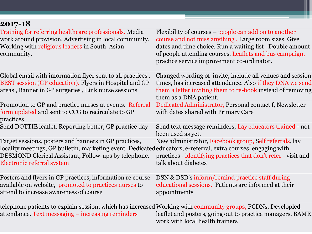| 2017-18                                                                                                                                                                                                                                                      |                                                                                                                                                                                                                                                                                    |
|--------------------------------------------------------------------------------------------------------------------------------------------------------------------------------------------------------------------------------------------------------------|------------------------------------------------------------------------------------------------------------------------------------------------------------------------------------------------------------------------------------------------------------------------------------|
| Training for referring healthcare professionals. Media<br>work around provision. Advertising in local community.<br>Working with religious leaders in South Asian<br>community.                                                                              | Flexibility of courses – people can add on to another<br>course and not miss anything. Large room sizes. Give<br>dates and time choice. Run a waiting list. Double amount<br>of people attending courses. Leaflets and bus campaign,<br>practice service improvement co-ordinator. |
| Global email with information flyer sent to all practices.<br>BEST session (GP education). Flyers in Hospital and GP<br>areas, Banner in GP surgeries, Link nurse sessions                                                                                   | Changed wording of invite, include all venues and session<br>times, has increased attendance. Also if they DNA we send<br>them a letter inviting them to re-book instead of removing<br>them as a DNA patient.                                                                     |
| Promotion to GP and practice nurses at events. Referral<br>form updated and sent to CCG to recirculate to GP<br>practices                                                                                                                                    | Dedicated Administrator, Personal contact f, Newsletter<br>with dates shared with Primary Care                                                                                                                                                                                     |
| Send DOTTIE leaflet, Reporting better, GP practice day                                                                                                                                                                                                       | Send text message reminders, Lay educators trained - not<br>been used as yet,                                                                                                                                                                                                      |
| Target sessions, posters and banners in GP practices,<br>locality meetings, GP bulletin, marketing event. Dedicatededucators, e-referral, extra courses, engaging with<br>DESMOND Clerical Assistant, Follow-ups by telephone.<br>Electronic referral system | New administrator, Facebook group, Self referrals, lay<br>practices - identifying practices that don't refer - visit and<br>talk about diabetes                                                                                                                                    |
| Posters and flyers in GP practices, information re course<br>available on website, promoted to practices nurses to<br>attend to increase awareness of course                                                                                                 | DSN & DSD's inform/remind practice staff during<br>educational sessions. Patients are informed at their<br>appointments                                                                                                                                                            |
| telephone patients to explain session, which has increased Working with community groups, PCDNs, Developled<br>attendance. Text messaging - increasing reminders                                                                                             | leaflet and posters, going out to practice managers, BAME<br>work with local health trainers                                                                                                                                                                                       |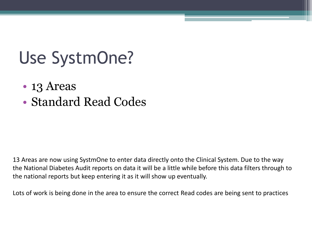### Use SystmOne?

- 13 Areas
- Standard Read Codes

13 Areas are now using SystmOne to enter data directly onto the Clinical System. Due to the way the National Diabetes Audit reports on data it will be a little while before this data filters through to the national reports but keep entering it as it will show up eventually.

Lots of work is being done in the area to ensure the correct Read codes are being sent to practices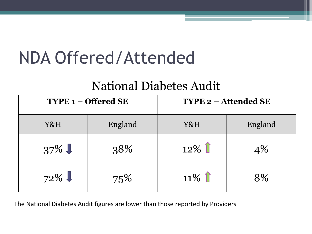### NDA Offered/Attended

### National Diabetes Audit

| $TYPE 1 - Official SE$ |         | <b>TYPE 2 - Attended SE</b> |         |  |
|------------------------|---------|-----------------------------|---------|--|
| Y&H                    | England | Y&H                         | England |  |
| $37\%$                 | 38%     | $12\%$                      | $4\%$   |  |
| $72\%$                 | 75%     | $11\%$                      | 8%      |  |

The National Diabetes Audit figures are lower than those reported by Providers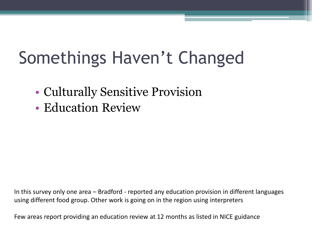## Somethings Haven't Changed

- Culturally Sensitive Provision
- Education Review

In this survey only one area – Bradford - reported any education provision in different languages using different food group. Other work is going on in the region using interpreters

Few areas report providing an education review at 12 months as listed in NICE guidance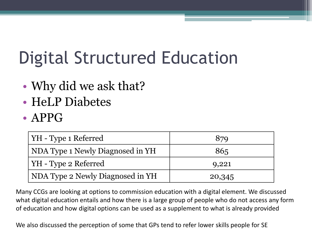## Digital Structured Education

- Why did we ask that?
- HeLP Diabetes
- APPG

| YH - Type 1 Referred             | 879    |
|----------------------------------|--------|
| NDA Type 1 Newly Diagnosed in YH | 865    |
| YH - Type 2 Referred             | 9,221  |
| NDA Type 2 Newly Diagnosed in YH | 20,345 |

Many CCGs are looking at options to commission education with a digital element. We discussed what digital education entails and how there is a large group of people who do not access any form of education and how digital options can be used as a supplement to what is already provided

We also discussed the perception of some that GPs tend to refer lower skills people for SE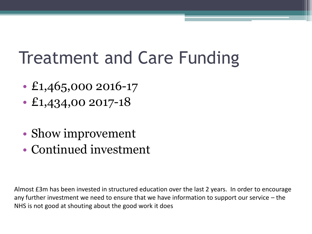### Treatment and Care Funding

- £1,465,000 2016-17
- £1,434,00 2017-18
- Show improvement
- Continued investment

Almost £3m has been invested in structured education over the last 2 years. In order to encourage any further investment we need to ensure that we have information to support our service – the NHS is not good at shouting about the good work it does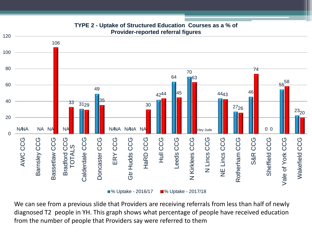

#### **TYPE 2 - Uptake of Structured Education Courses as a % of Provider-reported referral figures**

**8**% Uptake - 2016/17 **8**% Uptake - 2017/18

We can see from a previous slide that Providers are receiving referrals from less than half of newly diagnosed T2 people in YH. This graph shows what percentage of people have received education from the number of people that Providers say were referred to them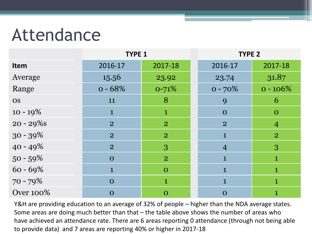### Attendance

|                  | <b>TYPE 1</b>  |                | <b>TYPE 2</b>  |                |
|------------------|----------------|----------------|----------------|----------------|
| <b>Item</b>      | 2016-17        | 2017-18        | 2016-17        | 2017-18        |
| Average          | 15.56          | 23.92          | 23.74          | 31.87          |
| Range            | $0 - 68%$      | $0 - 71\%$     | $0 - 70\%$     | $0 - 106\%$    |
| <b>OS</b>        | 11             | 8              | 9              | 6              |
| $10 - 19\%$      | $\mathbf 1$    | $\mathbf{1}$   | $\mathbf 0$    | $\mathbf 0$    |
| $20 - 29\%$ s    | $\overline{2}$ | $\overline{2}$ | $\overline{2}$ | $\overline{4}$ |
| $30 - 39\%$      | $\overline{2}$ | $\overline{2}$ | 1              | $\overline{2}$ |
| $40 - 49\%$      | $\overline{2}$ | 3              | $\overline{4}$ | 3              |
| $50 - 59\%$      | $\Omega$       | $\overline{2}$ | 1              | 1              |
| $60 - 69\%$      | 1              | $\Omega$       | $\mathbf{1}$   | $\mathbf 1$    |
| 70 - 79%         | $\Omega$       | $\mathbf{1}$   |                | $\mathbf{1}$   |
| <b>Over 100%</b> | $\Omega$       | $\mathbf O$    | $\Omega$       | 1              |

Y&H are providing education to an average of 32% of people – higher than the NDA average states. Some areas are doing much better than that – the table above shows the number of areas who have achieved an attendance rate. There are 6 areas reporting 0 attendance (through not being able to provide data) and 7 areas are reporting 40% or higher in 2017-18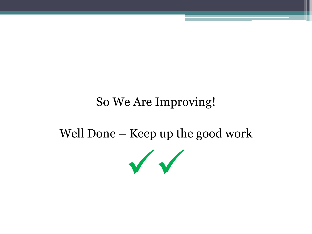### So We Are Improving!

### Well Done – Keep up the good work

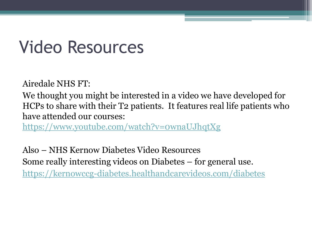### Video Resources

Airedale NHS FT:

We thought you might be interested in a video we have developed for HCPs to share with their T2 patients. It features real life patients who have attended our courses:

<https://www.youtube.com/watch?v=0wnaUJhqtXg>

Also – NHS Kernow Diabetes Video Resources Some really interesting videos on Diabetes – for general use. <https://kernowccg-diabetes.healthandcarevideos.com/diabetes>